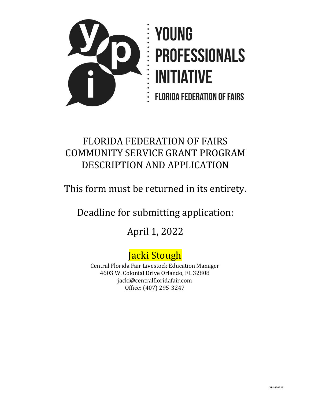

# FLORIDA FEDERATION OF FAIRS COMMUNITY SERVICE GRANT PROGRAM DESCRIPTION AND APPLICATION

This form must be returned in its entirety.

Deadline for submitting application:

April 1, 2022

# Jacki Stough

Central Florida Fair Livestock Education Manager 4603 W. Colonial Drive Orlando, FL 32808 jacki@centralfloridafair.com Office: (407) 295-3247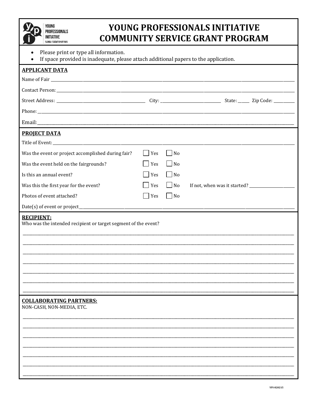### YOUNG PROFESSIONALS INITIATIVE **COMMUNITY SERVICE GRANT PROGRAM**

- Please print or type all information.  $\bullet$
- If space provided is inadequate please attach additional papers to the application

| <b>PROJECT DATA</b>                                            |               |                             |  |
|----------------------------------------------------------------|---------------|-----------------------------|--|
|                                                                |               |                             |  |
| Was the event or project accomplished during fair?             | Yes           | No                          |  |
| Was the event held on the fairgrounds?                         | $\bigcap$ Yes | $\vert$   No                |  |
| Is this an annual event?                                       | Yes           | $\overline{\phantom{a}}$ No |  |
| Was this the first year for the event?                         | $\vert$ Yes   | $\Box$ No                   |  |
| Photos of event attached?                                      | Yes           | N <sub>o</sub>              |  |
|                                                                |               |                             |  |
| Who was the intended recipient or target segment of the event? |               |                             |  |
| <b>COLLABORATING PARTNERS:</b>                                 |               |                             |  |